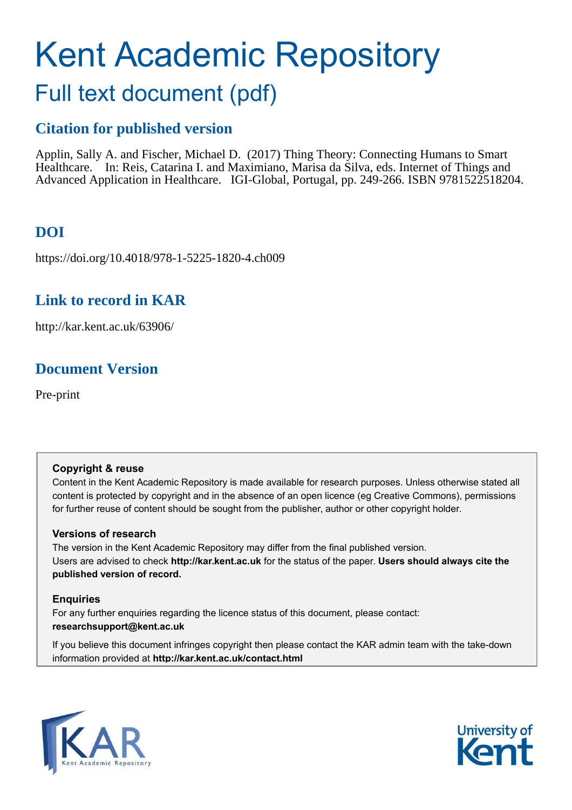# Kent Academic Repository

## Full text document (pdf)

## **Citation for published version**

Applin, Sally A. and Fischer, Michael D. (2017) Thing Theory: Connecting Humans to Smart Healthcare. In: Reis, Catarina I. and Maximiano, Marisa da Silva, eds. Internet of Things and Advanced Application in Healthcare. IGI-Global, Portugal, pp. 249-266. ISBN 9781522518204.

## **DOI**

https://doi.org/10.4018/978-1-5225-1820-4.ch009

### **Link to record in KAR**

http://kar.kent.ac.uk/63906/

## **Document Version**

Pre-print

#### **Copyright & reuse**

Content in the Kent Academic Repository is made available for research purposes. Unless otherwise stated all content is protected by copyright and in the absence of an open licence (eg Creative Commons), permissions for further reuse of content should be sought from the publisher, author or other copyright holder.

#### **Versions of research**

The version in the Kent Academic Repository may differ from the final published version. Users are advised to check **http://kar.kent.ac.uk** for the status of the paper. **Users should always cite the published version of record.**

#### **Enquiries**

For any further enquiries regarding the licence status of this document, please contact: **researchsupport@kent.ac.uk**

If you believe this document infringes copyright then please contact the KAR admin team with the take-down information provided at **http://kar.kent.ac.uk/contact.html**



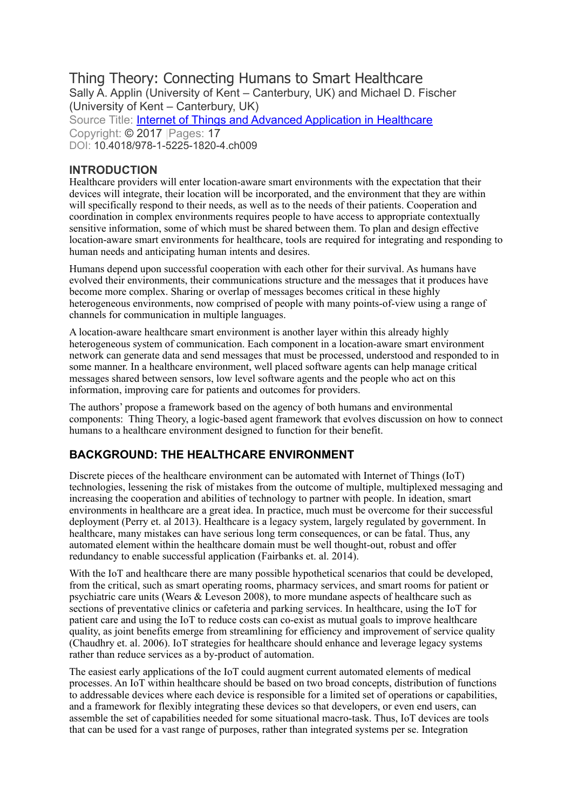#### Thing Theory: Connecting Humans to Smart Healthcare Sally A. Applin (University of Kent – Canterbury, UK) and Michael D. Fischer (University of Kent – Canterbury, UK) Source Title: **Internet of Things and Advanced Application in Healthcare** Copyright: © 2017 |Pages: 17 DOI: 10.4018/978-1-5225-1820-4.ch009

#### **INTRODUCTION**

Healthcare providers will enter location-aware smart environments with the expectation that their devices will integrate, their location will be incorporated, and the environment that they are within will specifically respond to their needs, as well as to the needs of their patients. Cooperation and coordination in complex environments requires people to have access to appropriate contextually sensitive information, some of which must be shared between them. To plan and design effective location-aware smart environments for healthcare, tools are required for integrating and responding to human needs and anticipating human intents and desires.

Humans depend upon successful cooperation with each other for their survival. As humans have evolved their environments, their communications structure and the messages that it produces have become more complex. Sharing or overlap of messages becomes critical in these highly heterogeneous environments, now comprised of people with many points-of-view using a range of channels for communication in multiple languages.

A location-aware healthcare smart environment is another layer within this already highly heterogeneous system of communication. Each component in a location-aware smart environment network can generate data and send messages that must be processed, understood and responded to in some manner. In a healthcare environment, well placed software agents can help manage critical messages shared between sensors, low level software agents and the people who act on this information, improving care for patients and outcomes for providers.

The authors' propose a framework based on the agency of both humans and environmental components: Thing Theory, a logic-based agent framework that evolves discussion on how to connect humans to a healthcare environment designed to function for their benefit.

#### **BACKGROUND: THE HEALTHCARE ENVIRONMENT**

Discrete pieces of the healthcare environment can be automated with Internet of Things (IoT) technologies, lessening the risk of mistakes from the outcome of multiple, multiplexed messaging and increasing the cooperation and abilities of technology to partner with people. In ideation, smart environments in healthcare are a great idea. In practice, much must be overcome for their successful deployment (Perry et. al 2013). Healthcare is a legacy system, largely regulated by government. In healthcare, many mistakes can have serious long term consequences, or can be fatal. Thus, any automated element within the healthcare domain must be well thought-out, robust and offer redundancy to enable successful application (Fairbanks et. al. 2014).

With the IoT and healthcare there are many possible hypothetical scenarios that could be developed, from the critical, such as smart operating rooms, pharmacy services, and smart rooms for patient or psychiatric care units (Wears  $&$  Leveson 2008), to more mundane aspects of healthcare such as sections of preventative clinics or cafeteria and parking services. In healthcare, using the IoT for patient care and using the IoT to reduce costs can co-exist as mutual goals to improve healthcare quality, as joint benefits emerge from streamlining for efficiency and improvement of service quality (Chaudhry et. al. 2006). IoT strategies for healthcare should enhance and leverage legacy systems rather than reduce services as a by-product of automation.

The easiest early applications of the IoT could augment current automated elements of medical processes. An IoT within healthcare should be based on two broad concepts, distribution of functions to addressable devices where each device is responsible for a limited set of operations or capabilities, and a framework for flexibly integrating these devices so that developers, or even end users, can assemble the set of capabilities needed for some situational macro-task. Thus, IoT devices are tools that can be used for a vast range of purposes, rather than integrated systems per se. Integration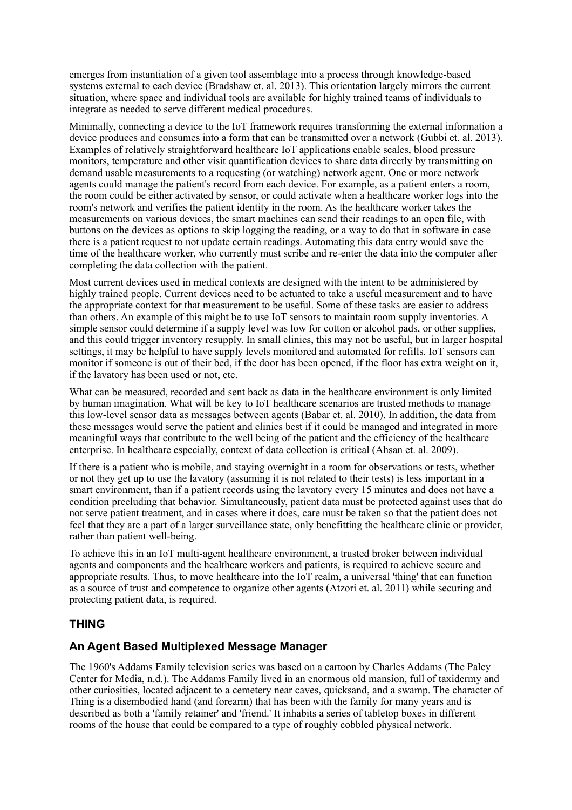emerges from instantiation of a given tool assemblage into a process through knowledge-based systems external to each device (Bradshaw et. al. 2013). This orientation largely mirrors the current situation, where space and individual tools are available for highly trained teams of individuals to integrate as needed to serve different medical procedures.

Minimally, connecting a device to the IoT framework requires transforming the external information a device produces and consumes into a form that can be transmitted over a network (Gubbi et. al. 2013). Examples of relatively straightforward healthcare IoT applications enable scales, blood pressure monitors, temperature and other visit quantification devices to share data directly by transmitting on demand usable measurements to a requesting (or watching) network agent. One or more network agents could manage the patient's record from each device. For example, as a patient enters a room, the room could be either activated by sensor, or could activate when a healthcare worker logs into the room's network and verifies the patient identity in the room. As the healthcare worker takes the measurements on various devices, the smart machines can send their readings to an open file, with buttons on the devices as options to skip logging the reading, or a way to do that in software in case there is a patient request to not update certain readings. Automating this data entry would save the time of the healthcare worker, who currently must scribe and re-enter the data into the computer after completing the data collection with the patient.

Most current devices used in medical contexts are designed with the intent to be administered by highly trained people. Current devices need to be actuated to take a useful measurement and to have the appropriate context for that measurement to be useful. Some of these tasks are easier to address than others. An example of this might be to use IoT sensors to maintain room supply inventories. A simple sensor could determine if a supply level was low for cotton or alcohol pads, or other supplies, and this could trigger inventory resupply. In small clinics, this may not be useful, but in larger hospital settings, it may be helpful to have supply levels monitored and automated for refills. IoT sensors can monitor if someone is out of their bed, if the door has been opened, if the floor has extra weight on it, if the lavatory has been used or not, etc.

What can be measured, recorded and sent back as data in the healthcare environment is only limited by human imagination. What will be key to IoT healthcare scenarios are trusted methods to manage this low-level sensor data as messages between agents (Babar et. al. 2010). In addition, the data from these messages would serve the patient and clinics best if it could be managed and integrated in more meaningful ways that contribute to the well being of the patient and the efficiency of the healthcare enterprise. In healthcare especially, context of data collection is critical (Ahsan et. al. 2009).

If there is a patient who is mobile, and staying overnight in a room for observations or tests, whether or not they get up to use the lavatory (assuming it is not related to their tests) is less important in a smart environment, than if a patient records using the lavatory every 15 minutes and does not have a condition precluding that behavior. Simultaneously, patient data must be protected against uses that do not serve patient treatment, and in cases where it does, care must be taken so that the patient does not feel that they are a part of a larger surveillance state, only benefitting the healthcare clinic or provider, rather than patient well-being.

To achieve this in an IoT multi-agent healthcare environment, a trusted broker between individual agents and components and the healthcare workers and patients, is required to achieve secure and appropriate results. Thus, to move healthcare into the IoT realm, a universal 'thing' that can function as a source of trust and competence to organize other agents (Atzori et. al. 2011) while securing and protecting patient data, is required.

#### **THING**

#### **An Agent Based Multiplexed Message Manager**

The 1960's Addams Family television series was based on a cartoon by Charles Addams (The Paley Center for Media, n.d.). The Addams Family lived in an enormous old mansion, full of taxidermy and other curiosities, located adjacent to a cemetery near caves, quicksand, and a swamp. The character of Thing is a disembodied hand (and forearm) that has been with the family for many years and is described as both a 'family retainer' and 'friend.' It inhabits a series of tabletop boxes in different rooms of the house that could be compared to a type of roughly cobbled physical network.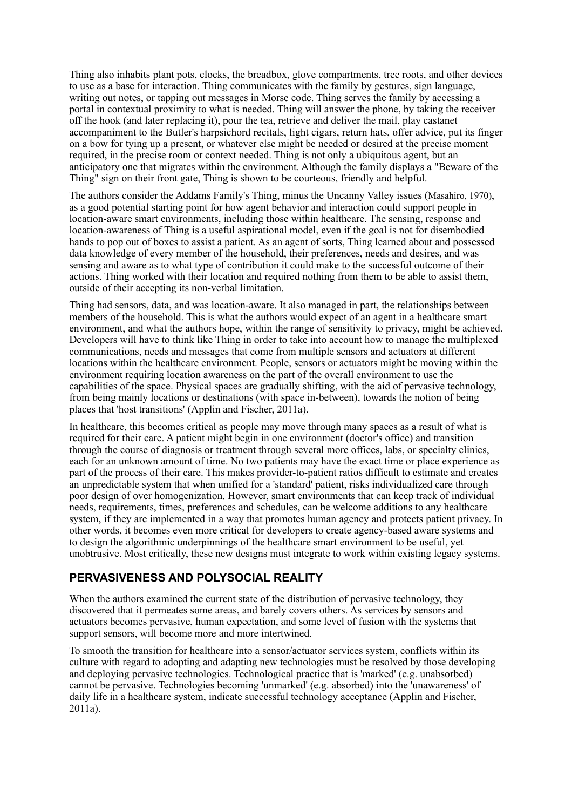Thing also inhabits plant pots, clocks, the breadbox, glove compartments, tree roots, and other devices to use as a base for interaction. Thing communicates with the family by gestures, sign language, writing out notes, or tapping out messages in Morse code. Thing serves the family by accessing a portal in contextual proximity to what is needed. Thing will answer the phone, by taking the receiver off the hook (and later replacing it), pour the tea, retrieve and deliver the mail, play castanet accompaniment to the Butler's harpsichord recitals, light cigars, return hats, offer advice, put its finger on a bow for tying up a present, or whatever else might be needed or desired at the precise moment required, in the precise room or context needed. Thing is not only a ubiquitous agent, but an anticipatory one that migrates within the environment. Although the family displays a "Beware of the Thing" sign on their front gate, Thing is shown to be courteous, friendly and helpful.

The authors consider the Addams Family's Thing, minus the Uncanny Valley issues (Masahiro, 1970), as a good potential starting point for how agent behavior and interaction could support people in location-aware smart environments, including those within healthcare. The sensing, response and location-awareness of Thing is a useful aspirational model, even if the goal is not for disembodied hands to pop out of boxes to assist a patient. As an agent of sorts, Thing learned about and possessed data knowledge of every member of the household, their preferences, needs and desires, and was sensing and aware as to what type of contribution it could make to the successful outcome of their actions. Thing worked with their location and required nothing from them to be able to assist them, outside of their accepting its non-verbal limitation.

Thing had sensors, data, and was location-aware. It also managed in part, the relationships between members of the household. This is what the authors would expect of an agent in a healthcare smart environment, and what the authors hope, within the range of sensitivity to privacy, might be achieved. Developers will have to think like Thing in order to take into account how to manage the multiplexed communications, needs and messages that come from multiple sensors and actuators at different locations within the healthcare environment. People, sensors or actuators might be moving within the environment requiring location awareness on the part of the overall environment to use the capabilities of the space. Physical spaces are gradually shifting, with the aid of pervasive technology, from being mainly locations or destinations (with space in-between), towards the notion of being places that 'host transitions' (Applin and Fischer, 2011a).

In healthcare, this becomes critical as people may move through many spaces as a result of what is required for their care. A patient might begin in one environment (doctor's office) and transition through the course of diagnosis or treatment through several more offices, labs, or specialty clinics, each for an unknown amount of time. No two patients may have the exact time or place experience as part of the process of their care. This makes provider-to-patient ratios difficult to estimate and creates an unpredictable system that when unified for a 'standard' patient, risks individualized care through poor design of over homogenization. However, smart environments that can keep track of individual needs, requirements, times, preferences and schedules, can be welcome additions to any healthcare system, if they are implemented in a way that promotes human agency and protects patient privacy. In other words, it becomes even more critical for developers to create agency-based aware systems and to design the algorithmic underpinnings of the healthcare smart environment to be useful, yet unobtrusive. Most critically, these new designs must integrate to work within existing legacy systems.

#### **PERVASIVENESS AND POLYSOCIAL REALITY**

When the authors examined the current state of the distribution of pervasive technology, they discovered that it permeates some areas, and barely covers others. As services by sensors and actuators becomes pervasive, human expectation, and some level of fusion with the systems that support sensors, will become more and more intertwined.

To smooth the transition for healthcare into a sensor/actuator services system, conflicts within its culture with regard to adopting and adapting new technologies must be resolved by those developing and deploying pervasive technologies. Technological practice that is 'marked' (e.g. unabsorbed) cannot be pervasive. Technologies becoming 'unmarked' (e.g. absorbed) into the 'unawareness' of daily life in a healthcare system, indicate successful technology acceptance (Applin and Fischer, 2011a).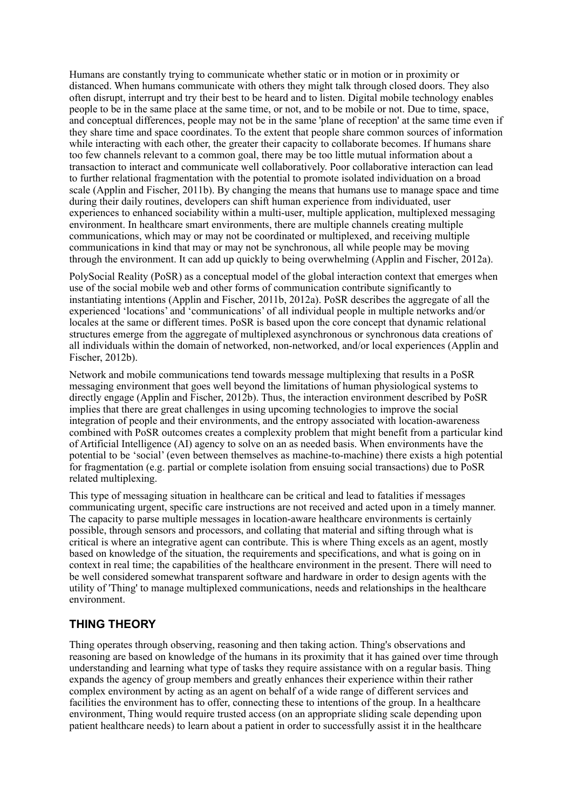Humans are constantly trying to communicate whether static or in motion or in proximity or distanced. When humans communicate with others they might talk through closed doors. They also often disrupt, interrupt and try their best to be heard and to listen. Digital mobile technology enables people to be in the same place at the same time, or not, and to be mobile or not. Due to time, space, and conceptual differences, people may not be in the same 'plane of reception' at the same time even if they share time and space coordinates. To the extent that people share common sources of information while interacting with each other, the greater their capacity to collaborate becomes. If humans share too few channels relevant to a common goal, there may be too little mutual information about a transaction to interact and communicate well collaboratively. Poor collaborative interaction can lead to further relational fragmentation with the potential to promote isolated individuation on a broad scale (Applin and Fischer, 2011b). By changing the means that humans use to manage space and time during their daily routines, developers can shift human experience from individuated, user experiences to enhanced sociability within a multi-user, multiple application, multiplexed messaging environment. In healthcare smart environments, there are multiple channels creating multiple communications, which may or may not be coordinated or multiplexed, and receiving multiple communications in kind that may or may not be synchronous, all while people may be moving through the environment. It can add up quickly to being overwhelming (Applin and Fischer, 2012a).

PolySocial Reality (PoSR) as a conceptual model of the global interaction context that emerges when use of the social mobile web and other forms of communication contribute significantly to instantiating intentions (Applin and Fischer, 2011b, 2012a). PoSR describes the aggregate of all the experienced 'locations' and 'communications' of all individual people in multiple networks and/or locales at the same or different times. PoSR is based upon the core concept that dynamic relational structures emerge from the aggregate of multiplexed asynchronous or synchronous data creations of all individuals within the domain of networked, non-networked, and/or local experiences (Applin and Fischer, 2012b).

Network and mobile communications tend towards message multiplexing that results in a PoSR messaging environment that goes well beyond the limitations of human physiological systems to directly engage (Applin and Fischer, 2012b). Thus, the interaction environment described by PoSR implies that there are great challenges in using upcoming technologies to improve the social integration of people and their environments, and the entropy associated with location-awareness combined with PoSR outcomes creates a complexity problem that might benefit from a particular kind of Artificial Intelligence (AI) agency to solve on an as needed basis. When environments have the potential to be 'social' (even between themselves as machine-to-machine) there exists a high potential for fragmentation (e.g. partial or complete isolation from ensuing social transactions) due to PoSR related multiplexing.

This type of messaging situation in healthcare can be critical and lead to fatalities if messages communicating urgent, specific care instructions are not received and acted upon in a timely manner. The capacity to parse multiple messages in location-aware healthcare environments is certainly possible, through sensors and processors, and collating that material and sifting through what is critical is where an integrative agent can contribute. This is where Thing excels as an agent, mostly based on knowledge of the situation, the requirements and specifications, and what is going on in context in real time; the capabilities of the healthcare environment in the present. There will need to be well considered somewhat transparent software and hardware in order to design agents with the utility of 'Thing' to manage multiplexed communications, needs and relationships in the healthcare environment.

#### **THING THEORY**

Thing operates through observing, reasoning and then taking action. Thing's observations and reasoning are based on knowledge of the humans in its proximity that it has gained over time through understanding and learning what type of tasks they require assistance with on a regular basis. Thing expands the agency of group members and greatly enhances their experience within their rather complex environment by acting as an agent on behalf of a wide range of different services and facilities the environment has to offer, connecting these to intentions of the group. In a healthcare environment, Thing would require trusted access (on an appropriate sliding scale depending upon patient healthcare needs) to learn about a patient in order to successfully assist it in the healthcare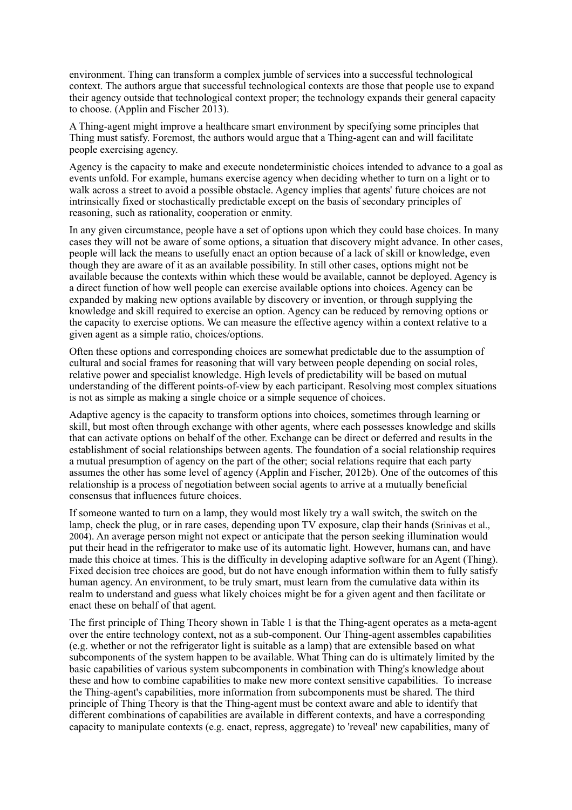environment. Thing can transform a complex jumble of services into a successful technological context. The authors argue that successful technological contexts are those that people use to expand their agency outside that technological context proper; the technology expands their general capacity to choose. (Applin and Fischer 2013).

A Thing-agent might improve a healthcare smart environment by specifying some principles that Thing must satisfy. Foremost, the authors would argue that a Thing-agent can and will facilitate people exercising agency.

Agency is the capacity to make and execute nondeterministic choices intended to advance to a goal as events unfold. For example, humans exercise agency when deciding whether to turn on a light or to walk across a street to avoid a possible obstacle. Agency implies that agents' future choices are not intrinsically fixed or stochastically predictable except on the basis of secondary principles of reasoning, such as rationality, cooperation or enmity.

In any given circumstance, people have a set of options upon which they could base choices. In many cases they will not be aware of some options, a situation that discovery might advance. In other cases, people will lack the means to usefully enact an option because of a lack of skill or knowledge, even though they are aware of it as an available possibility. In still other cases, options might not be available because the contexts within which these would be available, cannot be deployed. Agency is a direct function of how well people can exercise available options into choices. Agency can be expanded by making new options available by discovery or invention, or through supplying the knowledge and skill required to exercise an option. Agency can be reduced by removing options or the capacity to exercise options. We can measure the effective agency within a context relative to a given agent as a simple ratio, choices/options.

Often these options and corresponding choices are somewhat predictable due to the assumption of cultural and social frames for reasoning that will vary between people depending on social roles, relative power and specialist knowledge. High levels of predictability will be based on mutual understanding of the different points-of-view by each participant. Resolving most complex situations is not as simple as making a single choice or a simple sequence of choices.

Adaptive agency is the capacity to transform options into choices, sometimes through learning or skill, but most often through exchange with other agents, where each possesses knowledge and skills that can activate options on behalf of the other. Exchange can be direct or deferred and results in the establishment of social relationships between agents. The foundation of a social relationship requires a mutual presumption of agency on the part of the other; social relations require that each party assumes the other has some level of agency (Applin and Fischer, 2012b). One of the outcomes of this relationship is a process of negotiation between social agents to arrive at a mutually beneficial consensus that influences future choices.

If someone wanted to turn on a lamp, they would most likely try a wall switch, the switch on the lamp, check the plug, or in rare cases, depending upon TV exposure, clap their hands (Srinivas et al., 2004). An average person might not expect or anticipate that the person seeking illumination would put their head in the refrigerator to make use of its automatic light. However, humans can, and have made this choice at times. This is the difficulty in developing adaptive software for an Agent (Thing). Fixed decision tree choices are good, but do not have enough information within them to fully satisfy human agency. An environment, to be truly smart, must learn from the cumulative data within its realm to understand and guess what likely choices might be for a given agent and then facilitate or enact these on behalf of that agent.

The first principle of Thing Theory shown in Table 1 is that the Thing-agent operates as a meta-agent over the entire technology context, not as a sub-component. Our Thing-agent assembles capabilities (e.g. whether or not the refrigerator light is suitable as a lamp) that are extensible based on what subcomponents of the system happen to be available. What Thing can do is ultimately limited by the basic capabilities of various system subcomponents in combination with Thing's knowledge about these and how to combine capabilities to make new more context sensitive capabilities. To increase the Thing-agent's capabilities, more information from subcomponents must be shared. The third principle of Thing Theory is that the Thing-agent must be context aware and able to identify that different combinations of capabilities are available in different contexts, and have a corresponding capacity to manipulate contexts (e.g. enact, repress, aggregate) to 'reveal' new capabilities, many of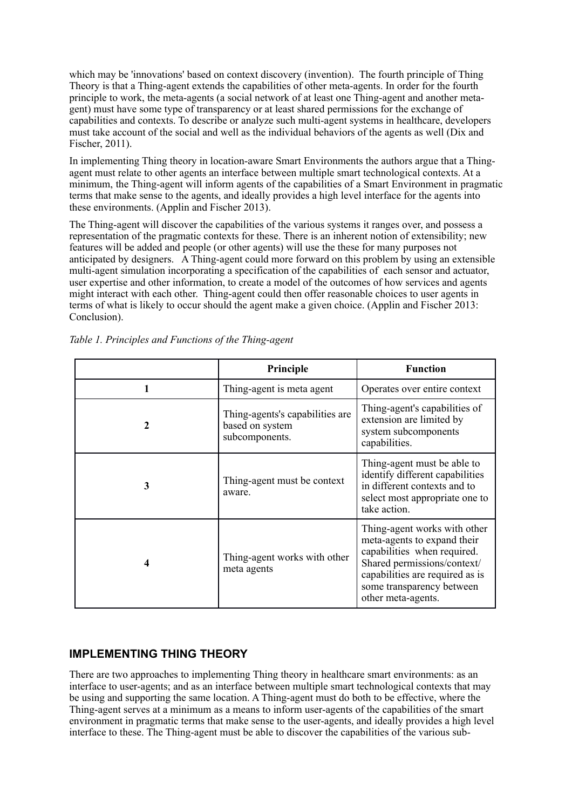which may be 'innovations' based on context discovery (invention). The fourth principle of Thing Theory is that a Thing-agent extends the capabilities of other meta-agents. In order for the fourth principle to work, the meta-agents (a social network of at least one Thing-agent and another metagent) must have some type of transparency or at least shared permissions for the exchange of capabilities and contexts. To describe or analyze such multi-agent systems in healthcare, developers must take account of the social and well as the individual behaviors of the agents as well (Dix and Fischer, 2011).

In implementing Thing theory in location-aware Smart Environments the authors argue that a Thingagent must relate to other agents an interface between multiple smart technological contexts. At a minimum, the Thing-agent will inform agents of the capabilities of a Smart Environment in pragmatic terms that make sense to the agents, and ideally provides a high level interface for the agents into these environments. (Applin and Fischer 2013).

The Thing-agent will discover the capabilities of the various systems it ranges over, and possess a representation of the pragmatic contexts for these. There is an inherent notion of extensibility; new features will be added and people (or other agents) will use the these for many purposes not anticipated by designers. A Thing-agent could more forward on this problem by using an extensible multi-agent simulation incorporating a specification of the capabilities of each sensor and actuator, user expertise and other information, to create a model of the outcomes of how services and agents might interact with each other. Thing-agent could then offer reasonable choices to user agents in terms of what is likely to occur should the agent make a given choice. (Applin and Fischer 2013: Conclusion).

|   | Principle                                                            | <b>Function</b>                                                                                                                                                                                                 |
|---|----------------------------------------------------------------------|-----------------------------------------------------------------------------------------------------------------------------------------------------------------------------------------------------------------|
| 1 | Thing-agent is meta agent                                            | Operates over entire context                                                                                                                                                                                    |
| 2 | Thing-agents's capabilities are<br>based on system<br>subcomponents. | Thing-agent's capabilities of<br>extension are limited by<br>system subcomponents<br>capabilities.                                                                                                              |
| 3 | Thing-agent must be context<br>aware.                                | Thing-agent must be able to<br>identify different capabilities<br>in different contexts and to<br>select most appropriate one to<br>take action.                                                                |
| 4 | Thing-agent works with other<br>meta agents                          | Thing-agent works with other<br>meta-agents to expand their<br>capabilities when required.<br>Shared permissions/context/<br>capabilities are required as is<br>some transparency between<br>other meta-agents. |

*Table 1. Principles and Functions of the Thing-agent*

#### **IMPLEMENTING THING THEORY**

There are two approaches to implementing Thing theory in healthcare smart environments: as an interface to user-agents; and as an interface between multiple smart technological contexts that may be using and supporting the same location. A Thing-agent must do both to be effective, where the Thing-agent serves at a minimum as a means to inform user-agents of the capabilities of the smart environment in pragmatic terms that make sense to the user-agents, and ideally provides a high level interface to these. The Thing-agent must be able to discover the capabilities of the various sub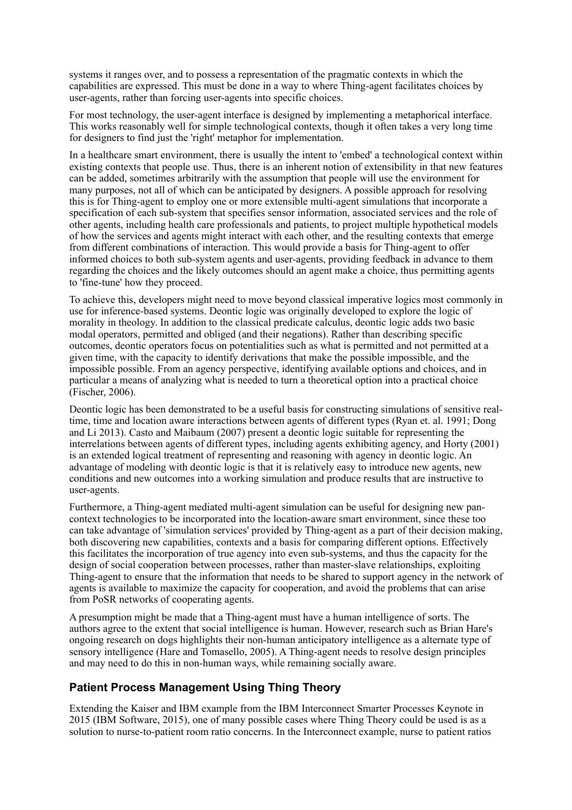systems it ranges over, and to possess a representation of the pragmatic contexts in which the capabilities are expressed. This must be done in a way to where Thing-agent facilitates choices by user-agents, rather than forcing user-agents into specific choices.

For most technology, the user-agent interface is designed by implementing a metaphorical interface. This works reasonably well for simple technological contexts, though it often takes a very long time for designers to find just the 'right' metaphor for implementation.

In a healthcare smart environment, there is usually the intent to 'embed' a technological context within existing contexts that people use. Thus, there is an inherent notion of extensibility in that new features can be added, sometimes arbitrarily with the assumption that people will use the environment for many purposes, not all of which can be anticipated by designers. A possible approach for resolving this is for Thing-agent to employ one or more extensible multi-agent simulations that incorporate a specification of each sub-system that specifies sensor information, associated services and the role of other agents, including health care professionals and patients, to project multiple hypothetical models of how the services and agents might interact with each other, and the resulting contexts that emerge from different combinations of interaction. This would provide a basis for Thing-agent to offer informed choices to both sub-system agents and user-agents, providing feedback in advance to them regarding the choices and the likely outcomes should an agent make a choice, thus permitting agents to 'fine-tune' how they proceed.

To achieve this, developers might need to move beyond classical imperative logics most commonly in use for inference-based systems. Deontic logic was originally developed to explore the logic of morality in theology. In addition to the classical predicate calculus, deontic logic adds two basic modal operators, permitted and obliged (and their negations). Rather than describing specific outcomes, deontic operators focus on potentialities such as what is permitted and not permitted at a given time, with the capacity to identify derivations that make the possible impossible, and the impossible possible. From an agency perspective, identifying available options and choices, and in particular a means of analyzing what is needed to turn a theoretical option into a practical choice (Fischer, 2006).

Deontic logic has been demonstrated to be a useful basis for constructing simulations of sensitive realtime, time and location aware interactions between agents of different types (Ryan et. al. 1991; Dong and Li 2013). Casto and Maibaum (2007) present a deontic logic suitable for representing the interrelations between agents of different types, including agents exhibiting agency, and Horty (2001) is an extended logical treatment of representing and reasoning with agency in deontic logic. An advantage of modeling with deontic logic is that it is relatively easy to introduce new agents, new conditions and new outcomes into a working simulation and produce results that are instructive to user-agents.

Furthermore, a Thing-agent mediated multi-agent simulation can be useful for designing new pancontext technologies to be incorporated into the location-aware smart environment, since these too can take advantage of 'simulation services' provided by Thing-agent as a part of their decision making, both discovering new capabilities, contexts and a basis for comparing different options. Effectively this facilitates the incorporation of true agency into even sub-systems, and thus the capacity for the design of social cooperation between processes, rather than master-slave relationships, exploiting Thing-agent to ensure that the information that needs to be shared to support agency in the network of agents is available to maximize the capacity for cooperation, and avoid the problems that can arise from PoSR networks of cooperating agents.

A presumption might be made that a Thing-agent must have a human intelligence of sorts. The authors agree to the extent that social intelligence is human. However, research such as Brian Hare's ongoing research on dogs highlights their non-human anticipatory intelligence as a alternate type of sensory intelligence (Hare and Tomasello, 2005). A Thing-agent needs to resolve design principles and may need to do this in non-human ways, while remaining socially aware.

#### **Patient Process Management Using Thing Theory**

Extending the Kaiser and IBM example from the IBM Interconnect Smarter Processes Keynote in 2015 (IBM Software, 2015), one of many possible cases where Thing Theory could be used is as a solution to nurse-to-patient room ratio concerns. In the Interconnect example, nurse to patient ratios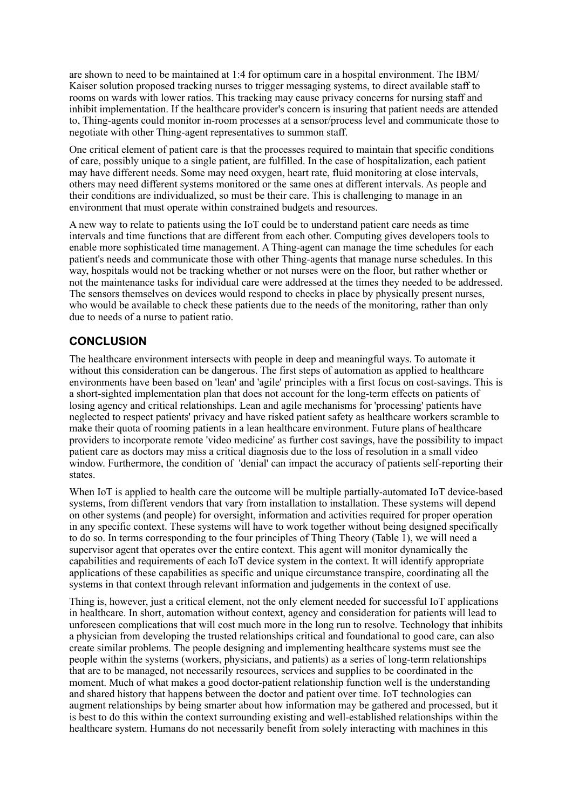are shown to need to be maintained at 1:4 for optimum care in a hospital environment. The IBM/ Kaiser solution proposed tracking nurses to trigger messaging systems, to direct available staff to rooms on wards with lower ratios. This tracking may cause privacy concerns for nursing staff and inhibit implementation. If the healthcare provider's concern is insuring that patient needs are attended to, Thing-agents could monitor in-room processes at a sensor/process level and communicate those to negotiate with other Thing-agent representatives to summon staff.

One critical element of patient care is that the processes required to maintain that specific conditions of care, possibly unique to a single patient, are fulfilled. In the case of hospitalization, each patient may have different needs. Some may need oxygen, heart rate, fluid monitoring at close intervals, others may need different systems monitored or the same ones at different intervals. As people and their conditions are individualized, so must be their care. This is challenging to manage in an environment that must operate within constrained budgets and resources.

A new way to relate to patients using the IoT could be to understand patient care needs as time intervals and time functions that are different from each other. Computing gives developers tools to enable more sophisticated time management. A Thing-agent can manage the time schedules for each patient's needs and communicate those with other Thing-agents that manage nurse schedules. In this way, hospitals would not be tracking whether or not nurses were on the floor, but rather whether or not the maintenance tasks for individual care were addressed at the times they needed to be addressed. The sensors themselves on devices would respond to checks in place by physically present nurses, who would be available to check these patients due to the needs of the monitoring, rather than only due to needs of a nurse to patient ratio.

#### **CONCLUSION**

The healthcare environment intersects with people in deep and meaningful ways. To automate it without this consideration can be dangerous. The first steps of automation as applied to healthcare environments have been based on 'lean' and 'agile' principles with a first focus on cost-savings. This is a short-sighted implementation plan that does not account for the long-term effects on patients of losing agency and critical relationships. Lean and agile mechanisms for 'processing' patients have neglected to respect patients' privacy and have risked patient safety as healthcare workers scramble to make their quota of rooming patients in a lean healthcare environment. Future plans of healthcare providers to incorporate remote 'video medicine' as further cost savings, have the possibility to impact patient care as doctors may miss a critical diagnosis due to the loss of resolution in a small video window. Furthermore, the condition of 'denial' can impact the accuracy of patients self-reporting their states.

When IoT is applied to health care the outcome will be multiple partially-automated IoT device-based systems, from different vendors that vary from installation to installation. These systems will depend on other systems (and people) for oversight, information and activities required for proper operation in any specific context. These systems will have to work together without being designed specifically to do so. In terms corresponding to the four principles of Thing Theory (Table 1), we will need a supervisor agent that operates over the entire context. This agent will monitor dynamically the capabilities and requirements of each IoT device system in the context. It will identify appropriate applications of these capabilities as specific and unique circumstance transpire, coordinating all the systems in that context through relevant information and judgements in the context of use.

Thing is, however, just a critical element, not the only element needed for successful IoT applications in healthcare. In short, automation without context, agency and consideration for patients will lead to unforeseen complications that will cost much more in the long run to resolve. Technology that inhibits a physician from developing the trusted relationships critical and foundational to good care, can also create similar problems. The people designing and implementing healthcare systems must see the people within the systems (workers, physicians, and patients) as a series of long-term relationships that are to be managed, not necessarily resources, services and supplies to be coordinated in the moment. Much of what makes a good doctor-patient relationship function well is the understanding and shared history that happens between the doctor and patient over time. IoT technologies can augment relationships by being smarter about how information may be gathered and processed, but it is best to do this within the context surrounding existing and well-established relationships within the healthcare system. Humans do not necessarily benefit from solely interacting with machines in this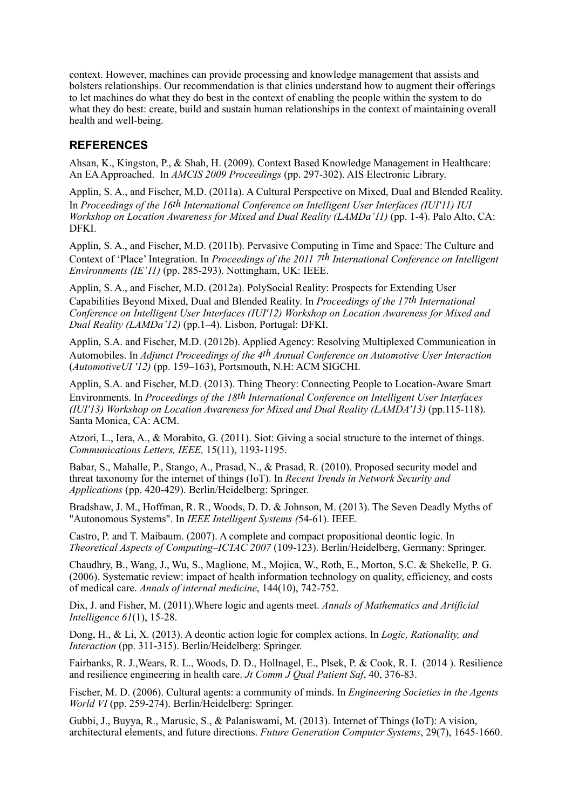context. However, machines can provide processing and knowledge management that assists and bolsters relationships. Our recommendation is that clinics understand how to augment their offerings to let machines do what they do best in the context of enabling the people within the system to do what they do best: create, build and sustain human relationships in the context of maintaining overall health and well-being.

#### **REFERENCES**

Ahsan, K., Kingston, P., & Shah, H. (2009). Context Based Knowledge Management in Healthcare: An EA Approached. In *AMCIS 2009 Proceedings* (pp. 297-302). AIS Electronic Library.

Applin, S. A., and Fischer, M.D. (2011a). A Cultural Perspective on Mixed, Dual and Blended Reality. In *Proceedings of the 16th International Conference on Intelligent User Interfaces (IUI'11) IUI Workshop on Location Awareness for Mixed and Dual Reality (LAMDa'11)* (pp. 1-4). Palo Alto, CA: **DFKI** 

Applin, S. A., and Fischer, M.D. (2011b). Pervasive Computing in Time and Space: The Culture and Context of 'Place' Integration. In *Proceedings of the 2011 7th International Conference on Intelligent Environments (IE'11)* (pp. 285-293). Nottingham, UK: IEEE.

Applin, S. A., and Fischer, M.D. (2012a). PolySocial Reality: Prospects for Extending User Capabilities Beyond Mixed, Dual and Blended Reality. In *Proceedings of the 17th International Conference on Intelligent User Interfaces (IUI'12) Workshop on Location Awareness for Mixed and Dual Reality (LAMDa'12)* (pp.1–4). Lisbon, Portugal: DFKI.

Applin, S.A. and Fischer, M.D. (2012b). Applied Agency: Resolving Multiplexed Communication in Automobiles. In *Adjunct Proceedings of the 4th Annual Conference on Automotive User Interaction*  (*AutomotiveUI '12)* (pp. 159–163), Portsmouth, N.H: ACM SIGCHI.

Applin, S.A. and Fischer, M.D. (2013). Thing Theory: Connecting People to Location-Aware Smart Environments. In *Proceedings of the 18th International Conference on Intelligent User Interfaces (IUI'13) Workshop on Location Awareness for Mixed and Dual Reality (LAMDA'13)* (pp.115-118). Santa Monica, CA: ACM.

Atzori, L., Iera, A., & Morabito, G. (2011). Siot: Giving a social structure to the internet of things. *Communications Letters, IEEE,* 15(11), 1193-1195.

Babar, S., Mahalle, P., Stango, A., Prasad, N., & Prasad, R. (2010). Proposed security model and threat taxonomy for the internet of things (IoT). In *Recent Trends in Network Security and Applications* (pp. 420-429). Berlin/Heidelberg: Springer.

Bradshaw, J. M., Hoffman, R. R., Woods, D. D. & Johnson, M. (2013). The Seven Deadly Myths of "Autonomous Systems". In *IEEE Intelligent Systems (*54-61). IEEE.

Castro, P. and T. Maibaum. (2007). A complete and compact propositional deontic logic. In *Theoretical Aspects of Computing–ICTAC 2007* (109-123). Berlin/Heidelberg, Germany: Springer.

Chaudhry, B., Wang, J., Wu, S., Maglione, M., Mojica, W., Roth, E., Morton, S.C. & Shekelle, P. G. (2006). Systematic review: impact of health information technology on quality, efficiency, and costs of medical care. *Annals of internal medicine*, 144(10), 742-752.

Dix, J. and Fisher, M. (2011).Where logic and agents meet. *Annals of Mathematics and Artificial Intelligence 61*(1), 15-28.

Dong, H., & Li, X. (2013). A deontic action logic for complex actions. In *Logic, Rationality, and Interaction* (pp. 311-315). Berlin/Heidelberg: Springer.

Fairbanks, R. J.,Wears, R. L., Woods, D. D., Hollnagel, E., Plsek, P. & Cook, R. I. (2014 ). Resilience and resilience engineering in health care. *Jt Comm J Qual Patient Saf*, 40, 376-83.

Fischer, M. D. (2006). Cultural agents: a community of minds. In *Engineering Societies in the Agents World VI* (pp. 259-274). Berlin/Heidelberg: Springer.

Gubbi, J., Buyya, R., Marusic, S., & Palaniswami, M. (2013). Internet of Things (IoT): A vision, architectural elements, and future directions. *Future Generation Computer Systems*, 29(7), 1645-1660.